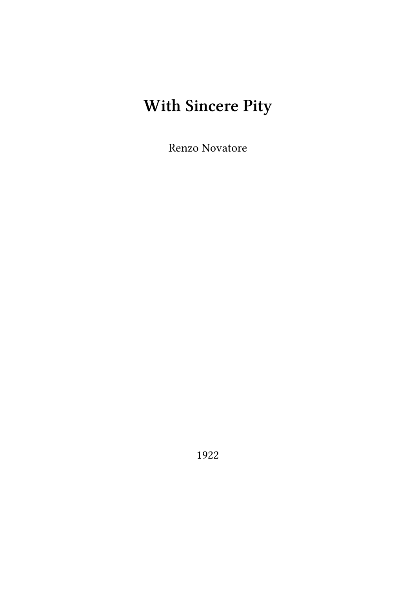# With Sincere Pity

Renzo Novatore

1922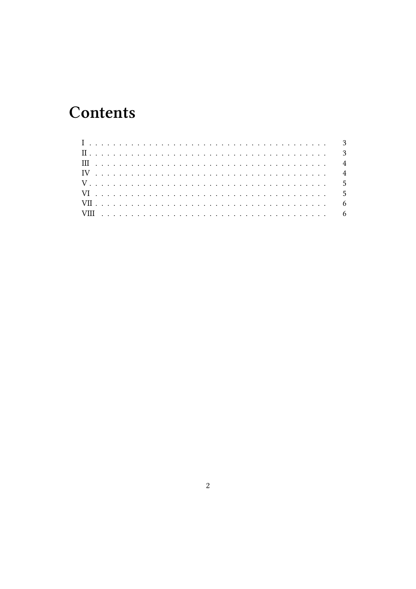# Contents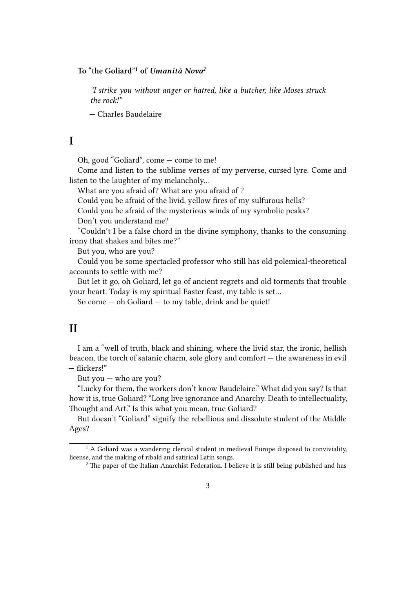#### **To "the Goliard"<sup>1</sup> of** *Umanitá Nova<sup>2</sup>*

*"I strike you without anger or hatred, like a butcher, like Moses struck the rock!"*

— Charles Baudelaire

### <span id="page-2-0"></span>**I**

Oh, good "Goliard", come — come to me!

Come and listen to the sublime verses of my perverse, cursed lyre. Come and listen to the laughter of my melancholy…

What are you afraid of? What are you afraid of ?

Could you be afraid of the livid, yellow fires of my sulfurous hells?

Could you be afraid of the mysterious winds of my symbolic peaks?

Don't you understand me?

"Couldn't I be a false chord in the divine symphony, thanks to the consuming irony that shakes and bites me?"

But you, who are you?

Could you be some spectacled professor who still has old polemical-theoretical accounts to settle with me?

But let it go, oh Goliard, let go of ancient regrets and old torments that trouble your heart. Today is my spiritual Easter feast, my table is set…

So  $come - oh$  Goliard  $-$  to my table, drink and be quiet!

### <span id="page-2-1"></span>**II**

I am a "well of truth, black and shining, where the livid star, the ironic, hellish beacon, the torch of satanic charm, sole glory and comfort — the awareness in evil — flickers!"

But you — who are you?

"Lucky for them, the workers don't know Baudelaire." What did you say? Is that how it is, true Goliard? "Long live ignorance and Anarchy. Death to intellectuality, Thought and Art." Is this what you mean, true Goliard?

But doesn't "Goliard" signify the rebellious and dissolute student of the Middle Ages?

<sup>&</sup>lt;sup>1</sup> A Goliard was a wandering clerical student in medieval Europe disposed to conviviality, license, and the making of ribald and satirical Latin songs.

<sup>&</sup>lt;sup>2</sup> The paper of the Italian Anarchist Federation. I believe it is still being published and has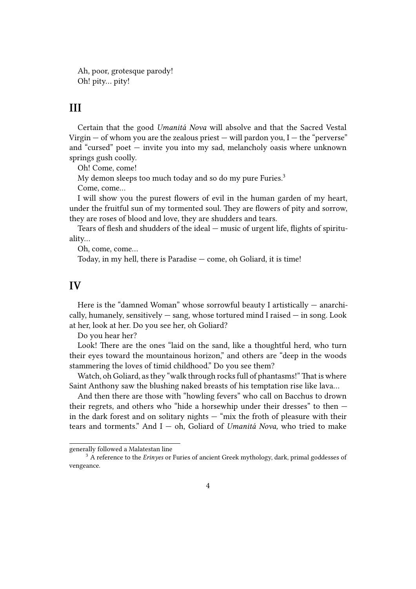Ah, poor, grotesque parody! Oh! pity… pity!

# <span id="page-3-0"></span>**III**

Certain that the good *Umanitá Nova* will absolve and that the Sacred Vestal Virgin  $-$  of whom you are the zealous priest  $-$  will pardon you, I  $-$  the "perverse" and "cursed" poet — invite you into my sad, melancholy oasis where unknown springs gush coolly.

Oh! Come, come!

My demon sleeps too much today and so do my pure Furies.<sup>3</sup>

Come, come…

I will show you the purest flowers of evil in the human garden of my heart, under the fruitful sun of my tormented soul. They are flowers of pity and sorrow, they are roses of blood and love, they are shudders and tears.

Tears of flesh and shudders of the ideal — music of urgent life, flights of spirituality…

Oh, come, come…

Today, in my hell, there is Paradise — come, oh Goliard, it is time!

#### <span id="page-3-1"></span>**IV**

Here is the "damned Woman" whose sorrowful beauty I artistically — anarchically, humanely, sensitively  $-$  sang, whose tortured mind I raised  $-$  in song. Look at her, look at her. Do you see her, oh Goliard?

Do you hear her?

Look! There are the ones "laid on the sand, like a thoughtful herd, who turn their eyes toward the mountainous horizon," and others are "deep in the woods stammering the loves of timid childhood." Do you see them?

Watch, oh Goliard, as they "walk through rocks full of phantasms!"That is where Saint Anthony saw the blushing naked breasts of his temptation rise like lava…

And then there are those with "howling fevers" who call on Bacchus to drown their regrets, and others who "hide a horsewhip under their dresses" to then in the dark forest and on solitary nights  $-$  "mix the froth of pleasure with their tears and torments." And I — oh, Goliard of *Umanitá Nova,* who tried to make

generally followed a Malatestan line

<sup>3</sup> A reference to the *Erinyes* or Furies of ancient Greek mythology, dark, primal goddesses of vengeance.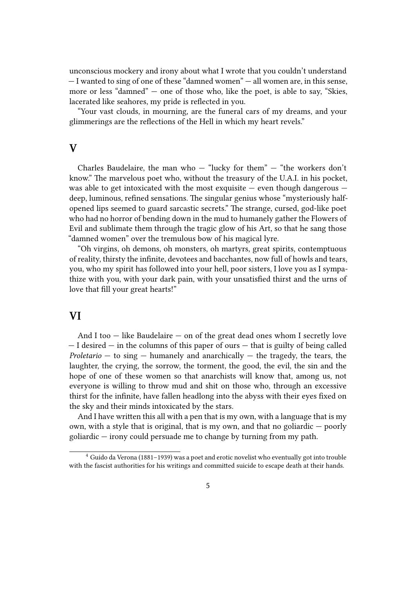unconscious mockery and irony about what I wrote that you couldn't understand — I wanted to sing of one of these "damned women" — all women are, in this sense, more or less "damned" — one of those who, like the poet, is able to say, "Skies, lacerated like seahores, my pride is reflected in you.

"Your vast clouds, in mourning, are the funeral cars of my dreams, and your glimmerings are the reflections of the Hell in which my heart revels."

#### <span id="page-4-0"></span>**V**

Charles Baudelaire, the man who  $-$  "lucky for them"  $-$  "the workers don't know." The marvelous poet who, without the treasury of the U.A.I. in his pocket, was able to get intoxicated with the most exquisite — even though dangerous deep, luminous, refined sensations. The singular genius whose "mysteriously halfopened lips seemed to guard sarcastic secrets." The strange, cursed, god-like poet who had no horror of bending down in the mud to humanely gather the Flowers of Evil and sublimate them through the tragic glow of his Art, so that he sang those "damned women" over the tremulous bow of his magical lyre.

"Oh virgins, oh demons, oh monsters, oh martyrs, great spirits, contemptuous of reality, thirsty the infinite, devotees and bacchantes, now full of howls and tears, you, who my spirit has followed into your hell, poor sisters, I love you as I sympathize with you, with your dark pain, with your unsatisfied thirst and the urns of love that fill your great hearts!"

#### **VI**

And I too — like Baudelaire — on of the great dead ones whom I secretly love  $-$  I desired  $-$  in the columns of this paper of ours  $-$  that is guilty of being called *Proletario* — to sing — humanely and anarchically — the tragedy, the tears, the laughter, the crying, the sorrow, the torment, the good, the evil, the sin and the hope of one of these women so that anarchists will know that, among us, not everyone is willing to throw mud and shit on those who, through an excessive thirst for the infinite, have fallen headlong into the abyss with their eyes fixed on the sky and their minds intoxicated by the stars.

And I have written this all with a pen that is my own, with a language that is my own, with a style that is original, that is my own, and that no goliardic — poorly goliardic — irony could persuade me to change by turning from my path.

<sup>4</sup> Guido da Verona (1881–1939) was a poet and erotic novelist who eventually got into trouble with the fascist authorities for his writings and committed suicide to escape death at their hands.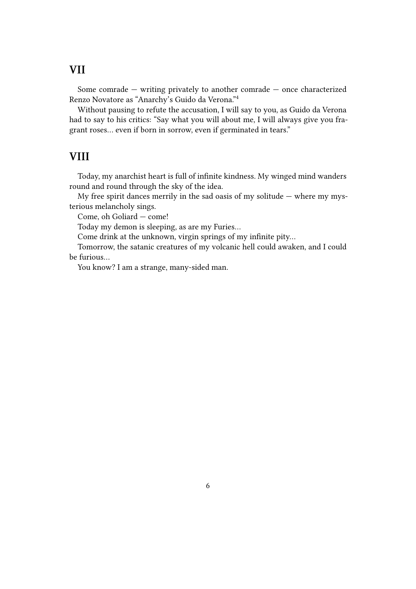# **VII**

Some comrade — writing privately to another comrade — once characterized Renzo Novatore as "Anarchy's Guido da Verona."<sup>4</sup>

Without pausing to refute the accusation, I will say to you, as Guido da Verona had to say to his critics: "Say what you will about me, I will always give you fragrant roses… even if born in sorrow, even if germinated in tears."

## **VIII**

Today, my anarchist heart is full of infinite kindness. My winged mind wanders round and round through the sky of the idea.

My free spirit dances merrily in the sad oasis of my solitude  $-$  where my mysterious melancholy sings.

Come, oh Goliard — come!

Today my demon is sleeping, as are my Furies…

Come drink at the unknown, virgin springs of my infinite pity…

Tomorrow, the satanic creatures of my volcanic hell could awaken, and I could be furious…

You know? I am a strange, many-sided man.